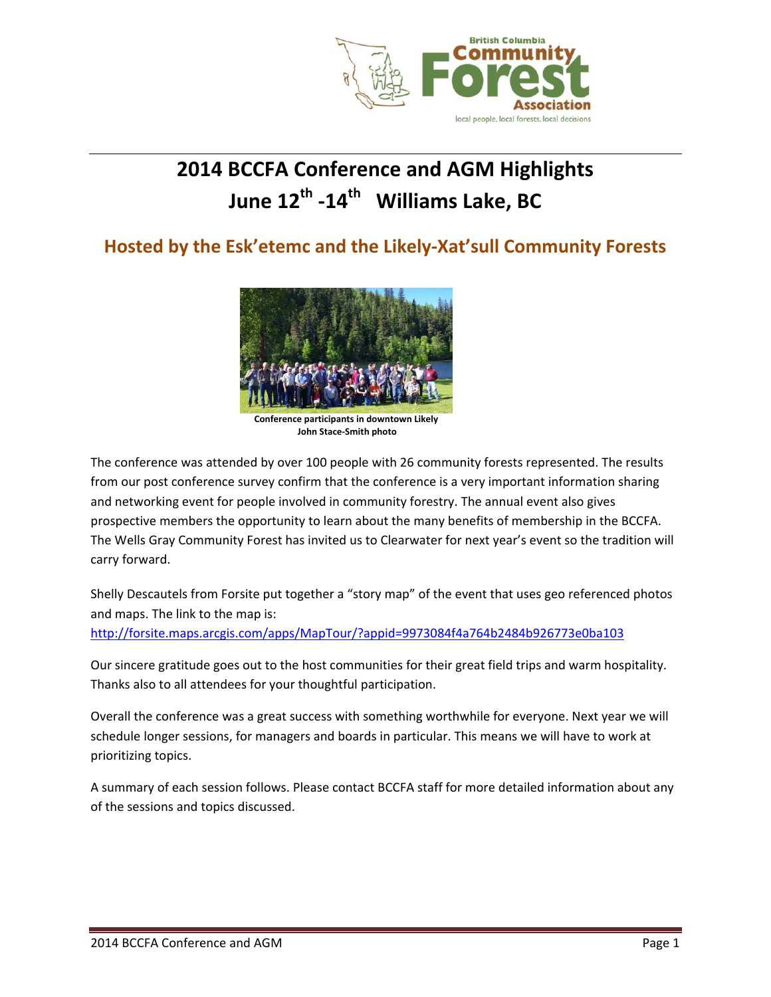

# **2014 BCCFA Conference and AGM Highlights June 12th ‐14th Williams Lake, BC**

## **Hosted by the Esk'etemc and the Likely‐Xat'sull Community Forests**



**Conference participants in downtown Likely John Stace‐Smith photo**

The conference was attended by over 100 people with 26 community forests represented. The results from our post conference survey confirm that the conference is a very important information sharing and networking event for people involved in community forestry. The annual event also gives prospective members the opportunity to learn about the many benefits of membership in the BCCFA. The Wells Gray Community Forest has invited us to Clearwater for next year's event so the tradition will carry forward.

Shelly Descautels from Forsite put together a "story map" of the event that uses geo referenced photos and maps. The link to the map is:

http://forsite.maps.arcgis.com/apps/MapTour/?appid=9973084f4a764b2484b926773e0ba103

Our sincere gratitude goes out to the host communities for their great field trips and warm hospitality. Thanks also to all attendees for your thoughtful participation.

Overall the conference was a great success with something worthwhile for everyone. Next year we will schedule longer sessions, for managers and boards in particular. This means we will have to work at prioritizing topics.

A summary of each session follows. Please contact BCCFA staff for more detailed information about any of the sessions and topics discussed.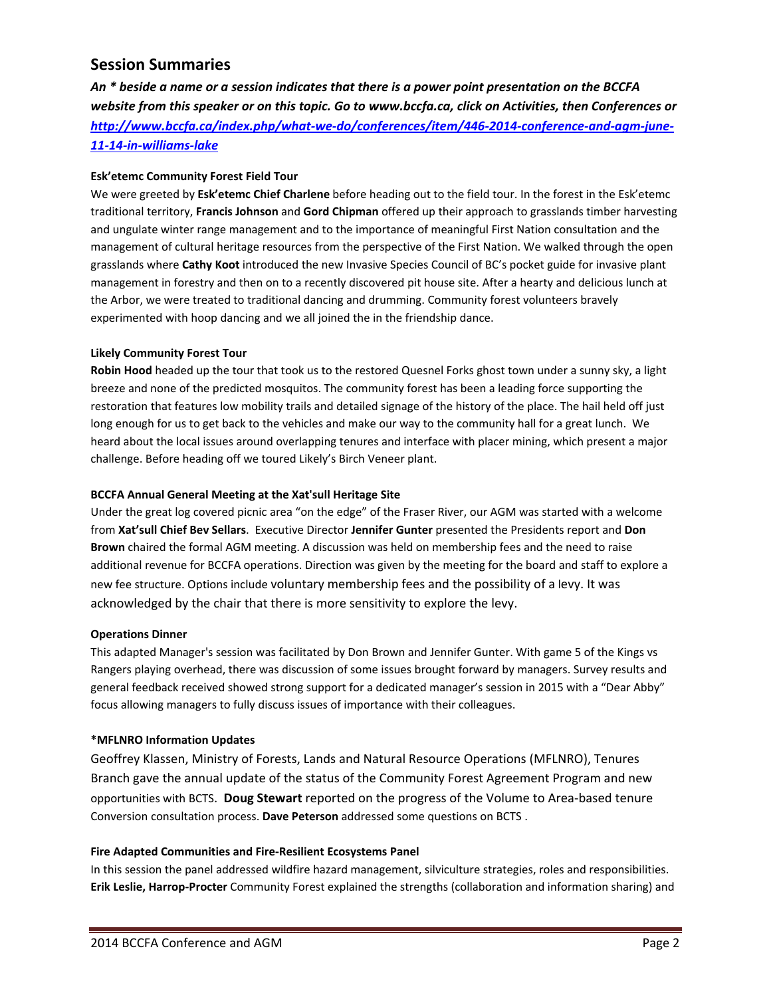### **Session Summaries**

An \* beside a name or a session indicates that there is a power point presentation on the BCCFA *website from this speaker or on this topic. Go to www.bccfa.ca, click on Activities, then Conferences or http://www.bccfa.ca/index.php/what‐we‐do/conferences/item/446‐2014‐conference‐and‐agm‐june‐ 11‐14‐in‐williams‐lake*

#### **Esk'etemc Community Forest Field Tour**

We were greeted by **Esk'etemc Chief Charlene** before heading out to the field tour. In the forest in the Esk'etemc traditional territory, **Francis Johnson** and **Gord Chipman** offered up their approach to grasslands timber harvesting and ungulate winter range management and to the importance of meaningful First Nation consultation and the management of cultural heritage resources from the perspective of the First Nation. We walked through the open grasslands where **Cathy Koot** introduced the new Invasive Species Council of BC's pocket guide for invasive plant management in forestry and then on to a recently discovered pit house site. After a hearty and delicious lunch at the Arbor, we were treated to traditional dancing and drumming. Community forest volunteers bravely experimented with hoop dancing and we all joined the in the friendship dance.

#### **Likely Community Forest Tour**

**Robin Hood** headed up the tour that took us to the restored Quesnel Forks ghost town under a sunny sky, a light breeze and none of the predicted mosquitos. The community forest has been a leading force supporting the restoration that features low mobility trails and detailed signage of the history of the place. The hail held off just long enough for us to get back to the vehicles and make our way to the community hall for a great lunch. We heard about the local issues around overlapping tenures and interface with placer mining, which present a major challenge. Before heading off we toured Likely's Birch Veneer plant.

#### **BCCFA Annual General Meeting at the Xat'sull Heritage Site**

Under the great log covered picnic area "on the edge" of the Fraser River, our AGM was started with a welcome from **Xat'sull Chief Bev Sellars**. Executive Director **Jennifer Gunter** presented the Presidents report and **Don Brown** chaired the formal AGM meeting. A discussion was held on membership fees and the need to raise additional revenue for BCCFA operations. Direction was given by the meeting for the board and staff to explore a new fee structure. Options include voluntary membership fees and the possibility of a levy. It was acknowledged by the chair that there is more sensitivity to explore the levy.

#### **Operations Dinner**

This adapted Manager's session was facilitated by Don Brown and Jennifer Gunter. With game 5 of the Kings vs Rangers playing overhead, there was discussion of some issues brought forward by managers. Survey results and general feedback received showed strong support for a dedicated manager's session in 2015 with a "Dear Abby" focus allowing managers to fully discuss issues of importance with their colleagues.

#### **\*MFLNRO Information Updates**

Geoffrey Klassen, Ministry of Forests, Lands and Natural Resource Operations (MFLNRO), Tenures Branch gave the annual update of the status of the Community Forest Agreement Program and new opportunities with BCTS. **Doug Stewart** reported on the progress of the Volume to Area‐based tenure Conversion consultation process. **Dave Peterson** addressed some questions on BCTS .

#### **Fire Adapted Communities and Fire‐Resilient Ecosystems Panel**

In this session the panel addressed wildfire hazard management, silviculture strategies, roles and responsibilities. **Erik Leslie, Harrop‐Procter** Community Forest explained the strengths (collaboration and information sharing) and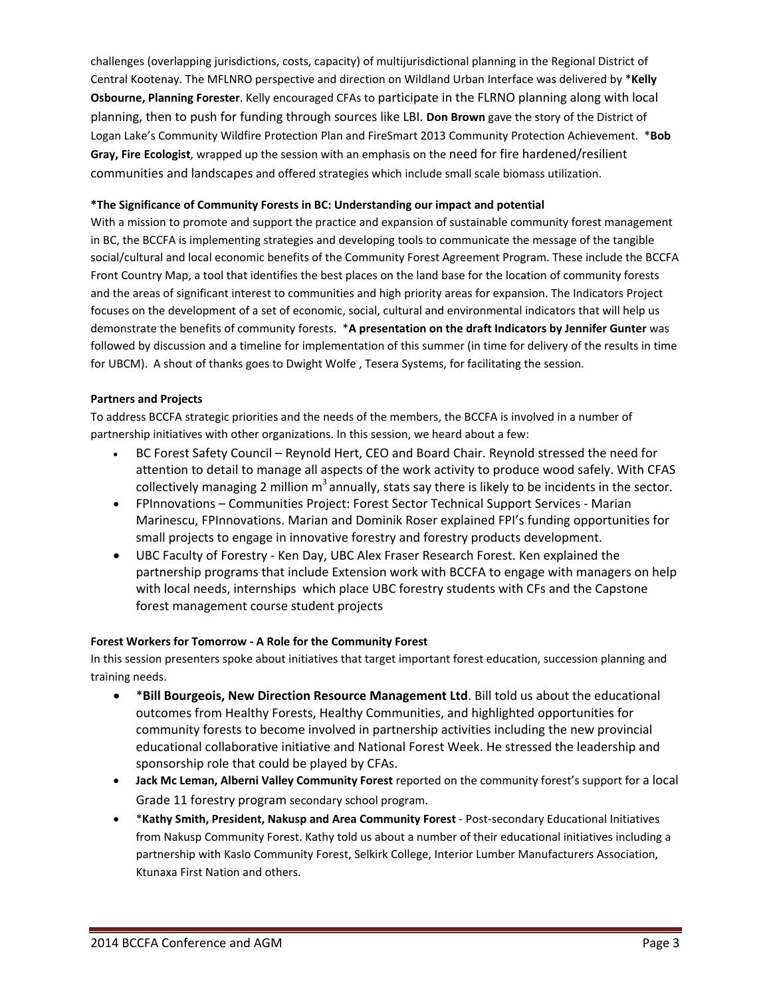challenges (overlapping jurisdictions, costs, capacity) of multijurisdictional planning in the Regional District of Central Kootenay. The MFLNRO perspective and direction on Wildland Urban Interface was delivered by \***Kelly Osbourne, Planning Forester**. Kelly encouraged CFAs to participate in the FLRNO planning along with local planning, then to push for funding through sources like LBI. **Don Brown** gave the story of the District of Logan Lake's Community Wildfire Protection Plan and FireSmart 2013 Community Protection Achievement. \***Bob Gray, Fire Ecologist**, wrapped up the session with an emphasis on the need for fire hardened/resilient communities and landscapes and offered strategies which include small scale biomass utilization.

#### **\*The Significance of Community Forests in BC: Understanding our impact and potential**

With a mission to promote and support the practice and expansion of sustainable community forest management in BC, the BCCFA is implementing strategies and developing tools to communicate the message of the tangible social/cultural and local economic benefits of the Community Forest Agreement Program. These include the BCCFA Front Country Map, a tool that identifies the best places on the land base for the location of community forests and the areas of significant interest to communities and high priority areas for expansion. The Indicators Project focuses on the development of a set of economic, social, cultural and environmental indicators that will help us demonstrate the benefits of community forests. \***A presentation on the draft Indicators by Jennifer Gunter** was followed by discussion and a timeline for implementation of this summer (in time for delivery of the results in time for UBCM). A shout of thanks goes to Dwight Wolfe , Tesera Systems, for facilitating the session.

#### **Partners and Projects**

To address BCCFA strategic priorities and the needs of the members, the BCCFA is involved in a number of partnership initiatives with other organizations. In this session, we heard about a few:

- BC Forest Safety Council Reynold Hert, CEO and Board Chair. Reynold stressed the need for attention to detail to manage all aspects of the work activity to produce wood safely. With CFAS collectively managing 2 million  $m<sup>3</sup>$  annually, stats say there is likely to be incidents in the sector.
- FPInnovations Communities Project: Forest Sector Technical Support Services ‐ Marian Marinescu, FPInnovations. Marian and Dominik Roser explained FPI's funding opportunities for small projects to engage in innovative forestry and forestry products development.
- UBC Faculty of Forestry ‐ Ken Day, UBC Alex Fraser Research Forest. Ken explained the partnership programs that include Extension work with BCCFA to engage with managers on help with local needs, internships which place UBC forestry students with CFs and the Capstone forest management course student projects

#### **Forest Workers for Tomorrow ‐ A Role for the Community Forest**

In this session presenters spoke about initiatives that target important forest education, succession planning and training needs.

- \***Bill Bourgeois, New Direction Resource Management Ltd**. Bill told us about the educational outcomes from Healthy Forests, Healthy Communities, and highlighted opportunities for community forests to become involved in partnership activities including the new provincial educational collaborative initiative and National Forest Week. He stressed the leadership and sponsorship role that could be played by CFAs.
- **Jack Mc Leman, Alberni Valley Community Forest** reported on the community forest's support for a local Grade 11 forestry program secondary school program.
- \***Kathy Smith, President, Nakusp and Area Community Forest** ‐ Post‐secondary Educational Initiatives from Nakusp Community Forest. Kathy told us about a number of their educational initiatives including a partnership with Kaslo Community Forest, Selkirk College, Interior Lumber Manufacturers Association, Ktunaxa First Nation and others.